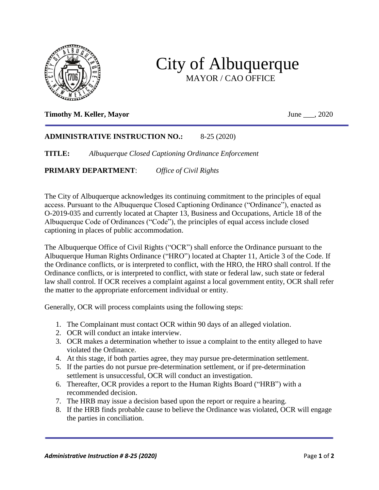

## City of Albuquerque MAYOR / CAO OFFICE

## **Timothy M. Keller, Mayor** June \_\_\_, 2020

## **ADMINISTRATIVE INSTRUCTION NO.:** 8-25 (2020)

**TITLE:** *Albuquerque Closed Captioning Ordinance Enforcement*

**PRIMARY DEPARTMENT**: *Office of Civil Rights*

The City of Albuquerque acknowledges its continuing commitment to the principles of equal access. Pursuant to the Albuquerque Closed Captioning Ordinance ("Ordinance"), enacted as O-2019-035 and currently located at Chapter 13, Business and Occupations, Article 18 of the Albuquerque Code of Ordinances ("Code"), the principles of equal access include closed captioning in places of public accommodation.

The Albuquerque Office of Civil Rights ("OCR") shall enforce the Ordinance pursuant to the Albuquerque Human Rights Ordinance ("HRO") located at Chapter 11, Article 3 of the Code. If the Ordinance conflicts, or is interpreted to conflict, with the HRO, the HRO shall control. If the Ordinance conflicts, or is interpreted to conflict, with state or federal law, such state or federal law shall control. If OCR receives a complaint against a local government entity, OCR shall refer the matter to the appropriate enforcement individual or entity.

Generally, OCR will process complaints using the following steps:

- 1. The Complainant must contact OCR within 90 days of an alleged violation.
- 2. OCR will conduct an intake interview.
- 3. OCR makes a determination whether to issue a complaint to the entity alleged to have violated the Ordinance.
- 4. At this stage, if both parties agree, they may pursue pre-determination settlement.
- 5. If the parties do not pursue pre-determination settlement, or if pre-determination settlement is unsuccessful, OCR will conduct an investigation.
- 6. Thereafter, OCR provides a report to the Human Rights Board ("HRB") with a recommended decision.
- 7. The HRB may issue a decision based upon the report or require a hearing.
- 8. If the HRB finds probable cause to believe the Ordinance was violated, OCR will engage the parties in conciliation.